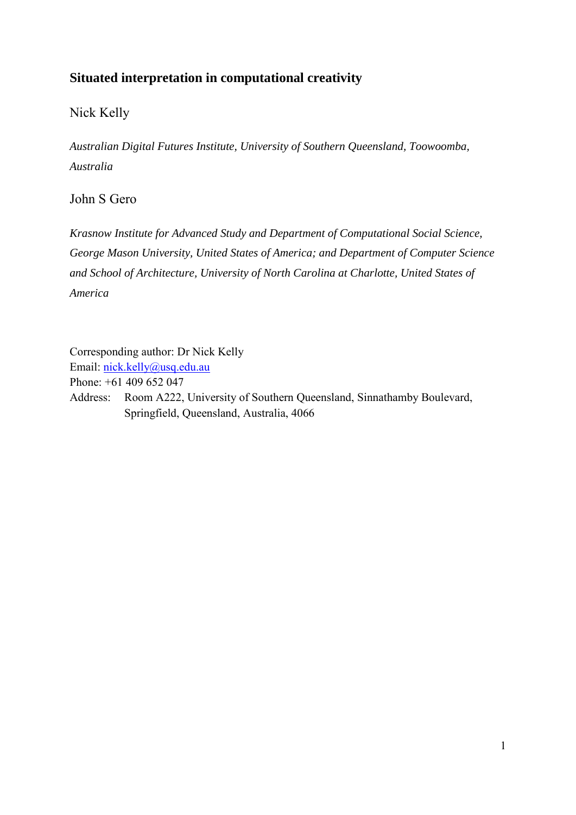# **Situated interpretation in computational creativity**

# Nick Kelly

*Australian Digital Futures Institute, University of Southern Queensland, Toowoomba, Australia*

## John S Gero

*Krasnow Institute for Advanced Study and Department of Computational Social Science, George Mason University, United States of America; and Department of Computer Science and School of Architecture, University of North Carolina at Charlotte, United States of America*

Corresponding author: Dr Nick Kelly Email: [nick.kelly@usq.edu.au](mailto:nick.kelly@usq.edu.au) Phone: +61 409 652 047 Address: Room A222, University of Southern Queensland, Sinnathamby Boulevard, Springfield, Queensland, Australia, 4066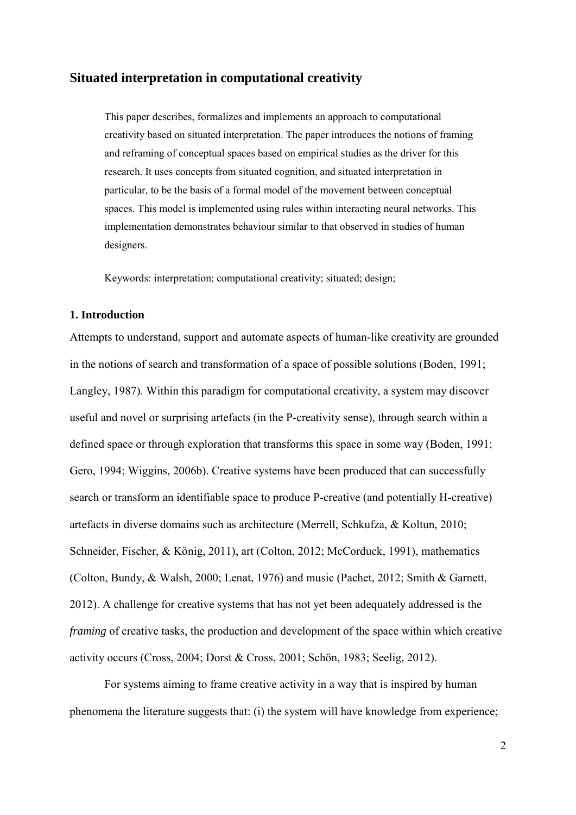## **Situated interpretation in computational creativity**

This paper describes, formalizes and implements an approach to computational creativity based on situated interpretation. The paper introduces the notions of framing and reframing of conceptual spaces based on empirical studies as the driver for this research. It uses concepts from situated cognition, and situated interpretation in particular, to be the basis of a formal model of the movement between conceptual spaces. This model is implemented using rules within interacting neural networks. This implementation demonstrates behaviour similar to that observed in studies of human designers.

Keywords: interpretation; computational creativity; situated; design;

## **1. Introduction**

Attempts to understand, support and automate aspects of human-like creativity are grounded in the notions of search and transformation of a space of possible solutions [\(Boden, 1991;](#page-27-0) [Langley, 1987\)](#page-29-0). Within this paradigm for computational creativity, a system may discover useful and novel or surprising artefacts (in the P-creativity sense), through search within a defined space or through exploration that transforms this space in some way [\(Boden, 1991;](#page-27-0) [Gero, 1994;](#page-28-0) [Wiggins, 2006b\)](#page-30-0). Creative systems have been produced that can successfully search or transform an identifiable space to produce P-creative (and potentially H-creative) artefacts in diverse domains such as architecture [\(Merrell, Schkufza, & Koltun, 2010;](#page-29-1) [Schneider, Fischer, & König, 2011\)](#page-29-2), art [\(Colton, 2012;](#page-27-1) [McCorduck, 1991\)](#page-29-3), mathematics [\(Colton, Bundy, & Walsh, 2000;](#page-27-2) [Lenat, 1976\)](#page-29-4) and music [\(Pachet, 2012;](#page-29-5) [Smith & Garnett,](#page-30-1)  [2012\)](#page-30-1). A challenge for creative systems that has not yet been adequately addressed is the *framing* of creative tasks, the production and development of the space within which creative activity occurs [\(Cross, 2004;](#page-27-3) [Dorst & Cross, 2001;](#page-28-1) [Schön, 1983;](#page-30-2) [Seelig, 2012\)](#page-30-3).

For systems aiming to frame creative activity in a way that is inspired by human phenomena the literature suggests that: (i) the system will have knowledge from experience;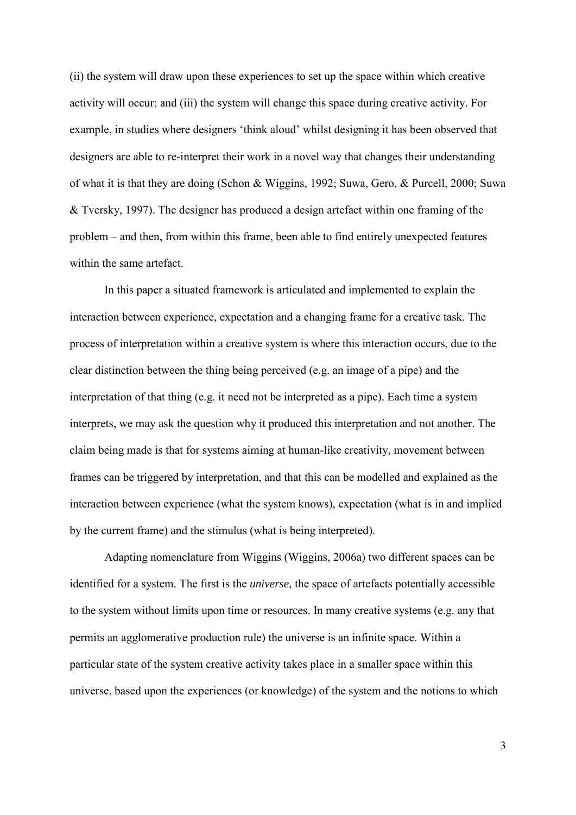(ii) the system will draw upon these experiences to set up the space within which creative activity will occur; and (iii) the system will change this space during creative activity. For example, in studies where designers 'think aloud' whilst designing it has been observed that designers are able to re-interpret their work in a novel way that changes their understanding of what it is that they are doing [\(Schon & Wiggins, 1992;](#page-30-4) [Suwa, Gero, & Purcell, 2000;](#page-30-5) [Suwa](#page-30-6)  [& Tversky, 1997\)](#page-30-6). The designer has produced a design artefact within one framing of the problem – and then, from within this frame, been able to find entirely unexpected features within the same artefact.

In this paper a situated framework is articulated and implemented to explain the interaction between experience, expectation and a changing frame for a creative task. The process of interpretation within a creative system is where this interaction occurs, due to the clear distinction between the thing being perceived (e.g. an image of a pipe) and the interpretation of that thing (e.g. it need not be interpreted as a pipe). Each time a system interprets, we may ask the question why it produced this interpretation and not another. The claim being made is that for systems aiming at human-like creativity, movement between frames can be triggered by interpretation, and that this can be modelled and explained as the interaction between experience (what the system knows), expectation (what is in and implied by the current frame) and the stimulus (what is being interpreted).

Adapting nomenclature from Wiggins [\(Wiggins, 2006a\)](#page-30-7) two different spaces can be identified for a system. The first is the *universe*, the space of artefacts potentially accessible to the system without limits upon time or resources. In many creative systems (e.g. any that permits an agglomerative production rule) the universe is an infinite space. Within a particular state of the system creative activity takes place in a smaller space within this universe, based upon the experiences (or knowledge) of the system and the notions to which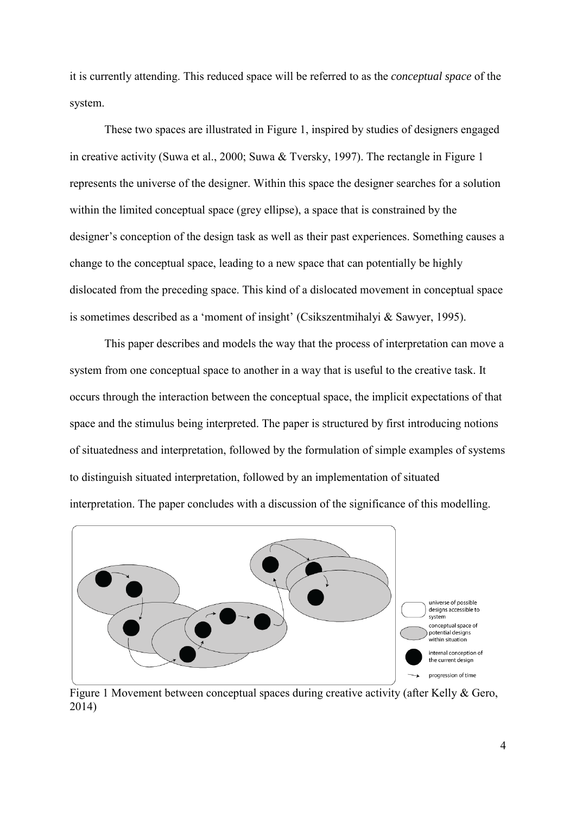it is currently attending. This reduced space will be referred to as the *conceptual space* of the system.

These two spaces are illustrated in Figure 1, inspired by studies of designers engaged in creative activity [\(Suwa et al., 2000;](#page-30-5) [Suwa & Tversky, 1997\)](#page-30-6). The rectangle in Figure 1 represents the universe of the designer. Within this space the designer searches for a solution within the limited conceptual space (grey ellipse), a space that is constrained by the designer's conception of the design task as well as their past experiences. Something causes a change to the conceptual space, leading to a new space that can potentially be highly dislocated from the preceding space. This kind of a dislocated movement in conceptual space is sometimes described as a 'moment of insight' [\(Csikszentmihalyi & Sawyer, 1995\)](#page-27-4).

This paper describes and models the way that the process of interpretation can move a system from one conceptual space to another in a way that is useful to the creative task. It occurs through the interaction between the conceptual space, the implicit expectations of that space and the stimulus being interpreted. The paper is structured by first introducing notions of situatedness and interpretation, followed by the formulation of simple examples of systems to distinguish situated interpretation, followed by an implementation of situated interpretation. The paper concludes with a discussion of the significance of this modelling.



Figure 1 Movement between conceptual spaces during creative activity [\(after Kelly & Gero,](#page-28-2)  [2014\)](#page-28-2)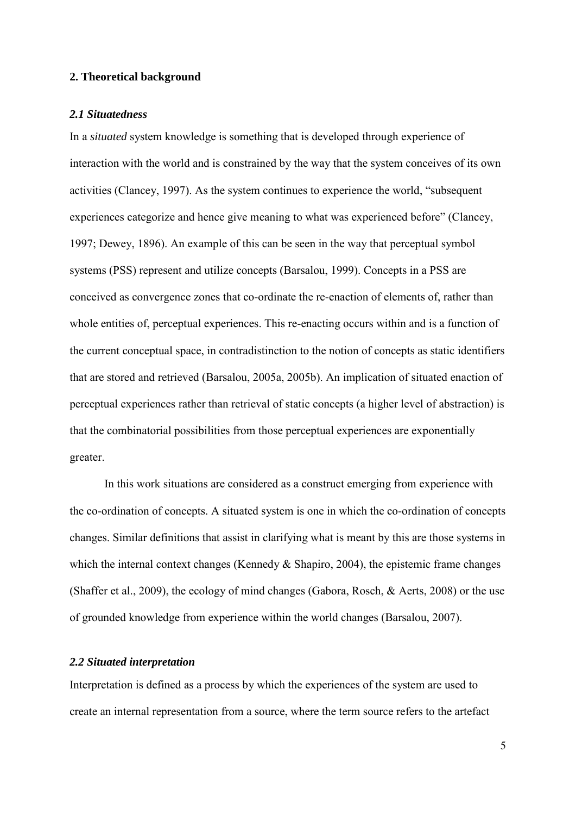#### **2. Theoretical background**

## *2.1 Situatedness*

In a *situated* system knowledge is something that is developed through experience of interaction with the world and is constrained by the way that the system conceives of its own activities [\(Clancey, 1997\)](#page-27-5). As the system continues to experience the world, "subsequent experiences categorize and hence give meaning to what was experienced before" [\(Clancey,](#page-27-5)  [1997;](#page-27-5) [Dewey, 1896\)](#page-27-6). An example of this can be seen in the way that perceptual symbol systems (PSS) represent and utilize concepts [\(Barsalou, 1999\)](#page-27-7). Concepts in a PSS are conceived as convergence zones that co-ordinate the re-enaction of elements of, rather than whole entities of, perceptual experiences. This re-enacting occurs within and is a function of the current conceptual space, in contradistinction to the notion of concepts as static identifiers that are stored and retrieved [\(Barsalou, 2005a,](#page-27-8) [2005b\)](#page-27-9). An implication of situated enaction of perceptual experiences rather than retrieval of static concepts (a higher level of abstraction) is that the combinatorial possibilities from those perceptual experiences are exponentially greater.

In this work situations are considered as a construct emerging from experience with the co-ordination of concepts. A situated system is one in which the co-ordination of concepts changes. Similar definitions that assist in clarifying what is meant by this are those systems in which the internal context changes (Kennedy  $&$  Shapiro, 2004), the epistemic frame changes [\(Shaffer et al., 2009\)](#page-30-8), the ecology of mind changes [\(Gabora, Rosch, & Aerts, 2008\)](#page-28-3) or the use of grounded knowledge from experience within the world changes [\(Barsalou, 2007\)](#page-27-10).

## *2.2 Situated interpretation*

Interpretation is defined as a process by which the experiences of the system are used to create an internal representation from a source, where the term source refers to the artefact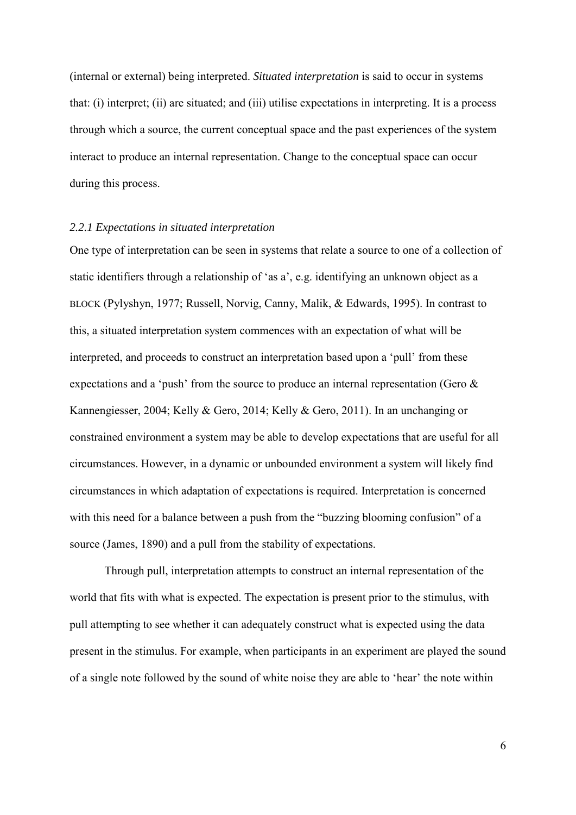(internal or external) being interpreted. *Situated interpretation* is said to occur in systems that: (i) interpret; (ii) are situated; and (iii) utilise expectations in interpreting. It is a process through which a source, the current conceptual space and the past experiences of the system interact to produce an internal representation. Change to the conceptual space can occur during this process.

## *2.2.1 Expectations in situated interpretation*

One type of interpretation can be seen in systems that relate a source to one of a collection of static identifiers through a relationship of 'as a', e.g. identifying an unknown object as a BLOCK [\(Pylyshyn, 1977;](#page-29-7) [Russell, Norvig, Canny, Malik, & Edwards, 1995\)](#page-29-8). In contrast to this, a situated interpretation system commences with an expectation of what will be interpreted, and proceeds to construct an interpretation based upon a 'pull' from these expectations and a 'push' from the source to produce an internal representation [\(Gero &](#page-28-4)  [Kannengiesser, 2004;](#page-28-4) [Kelly & Gero, 2014;](#page-28-2) [Kelly & Gero, 2011\)](#page-29-9). In an unchanging or constrained environment a system may be able to develop expectations that are useful for all circumstances. However, in a dynamic or unbounded environment a system will likely find circumstances in which adaptation of expectations is required. Interpretation is concerned with this need for a balance between a push from the "buzzing blooming confusion" of a source [\(James, 1890\)](#page-28-5) and a pull from the stability of expectations.

Through pull, interpretation attempts to construct an internal representation of the world that fits with what is expected. The expectation is present prior to the stimulus, with pull attempting to see whether it can adequately construct what is expected using the data present in the stimulus. For example, when participants in an experiment are played the sound of a single note followed by the sound of white noise they are able to 'hear' the note within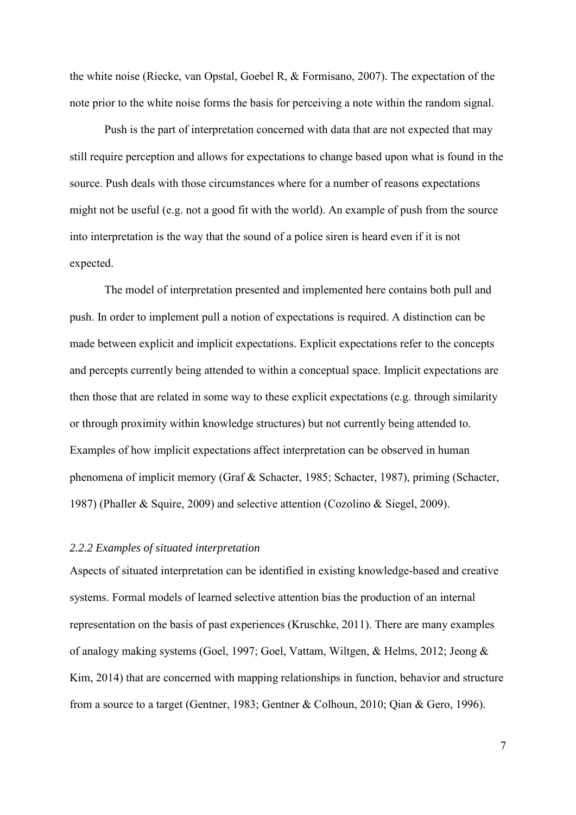the white noise [\(Riecke, van Opstal, Goebel R, & Formisano, 2007\)](#page-29-10). The expectation of the note prior to the white noise forms the basis for perceiving a note within the random signal.

Push is the part of interpretation concerned with data that are not expected that may still require perception and allows for expectations to change based upon what is found in the source. Push deals with those circumstances where for a number of reasons expectations might not be useful (e.g. not a good fit with the world). An example of push from the source into interpretation is the way that the sound of a police siren is heard even if it is not expected.

The model of interpretation presented and implemented here contains both pull and push. In order to implement pull a notion of expectations is required. A distinction can be made between explicit and implicit expectations. Explicit expectations refer to the concepts and percepts currently being attended to within a conceptual space. Implicit expectations are then those that are related in some way to these explicit expectations (e.g. through similarity or through proximity within knowledge structures) but not currently being attended to. Examples of how implicit expectations affect interpretation can be observed in human phenomena of implicit memory [\(Graf & Schacter, 1985;](#page-28-6) [Schacter, 1987\)](#page-29-11), priming [\(Schacter,](#page-29-11)  [1987\)](#page-29-11) [\(Phaller & Squire, 2009\)](#page-29-12) and selective attention [\(Cozolino & Siegel, 2009\)](#page-27-11).

## *2.2.2 Examples of situated interpretation*

Aspects of situated interpretation can be identified in existing knowledge-based and creative systems. Formal models of learned selective attention bias the production of an internal representation on the basis of past experiences [\(Kruschke, 2011\)](#page-29-13). There are many examples of analogy making systems [\(Goel, 1997;](#page-28-7) [Goel, Vattam, Wiltgen, & Helms, 2012;](#page-28-8) [Jeong &](#page-28-9)  [Kim, 2014\)](#page-28-9) that are concerned with mapping relationships in function, behavior and structure from a source to a target [\(Gentner, 1983;](#page-28-10) [Gentner & Colhoun, 2010;](#page-28-11) [Qian & Gero, 1996\)](#page-29-14).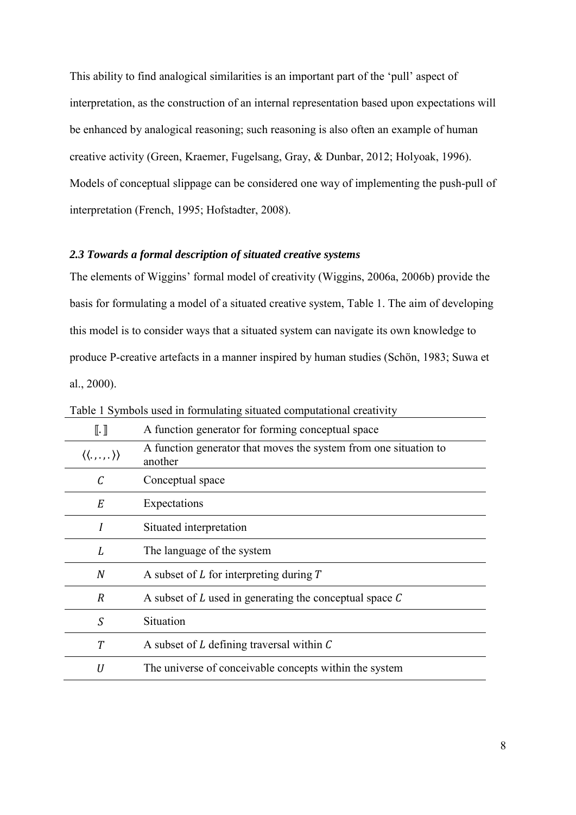This ability to find analogical similarities is an important part of the 'pull' aspect of interpretation, as the construction of an internal representation based upon expectations will be enhanced by analogical reasoning; such reasoning is also often an example of human creative activity [\(Green, Kraemer, Fugelsang, Gray, & Dunbar, 2012;](#page-28-12) [Holyoak, 1996\)](#page-28-13). Models of conceptual slippage can be considered one way of implementing the push-pull of interpretation [\(French, 1995;](#page-28-14) [Hofstadter, 2008\)](#page-28-15).

## *2.3 Towards a formal description of situated creative systems*

The elements of Wiggins' formal model of creativity [\(Wiggins, 2006a,](#page-30-7) [2006b\)](#page-30-0) provide the basis for formulating a model of a situated creative system, Table 1. The aim of developing this model is to consider ways that a situated system can navigate its own knowledge to produce P-creative artefacts in a manner inspired by human studies [\(Schön, 1983;](#page-30-2) [Suwa et](#page-30-5)  [al., 2000\)](#page-30-5).

| $\mathbb{I}.\mathbb{I}$                 | A function generator for forming conceptual space                           |
|-----------------------------------------|-----------------------------------------------------------------------------|
| $\langle\langle \ldots \rangle \rangle$ | A function generator that moves the system from one situation to<br>another |
| С                                       | Conceptual space                                                            |
| E                                       | Expectations                                                                |
| I                                       | Situated interpretation                                                     |
| L                                       | The language of the system                                                  |
| $\boldsymbol{N}$                        | A subset of $L$ for interpreting during $T$                                 |
| $\overline{R}$                          | A subset of $L$ used in generating the conceptual space $C$                 |
| S                                       | Situation                                                                   |
| T                                       | A subset of $L$ defining traversal within $C$                               |
| U                                       | The universe of conceivable concepts within the system                      |
|                                         |                                                                             |

Table 1 Symbols used in formulating situated computational creativity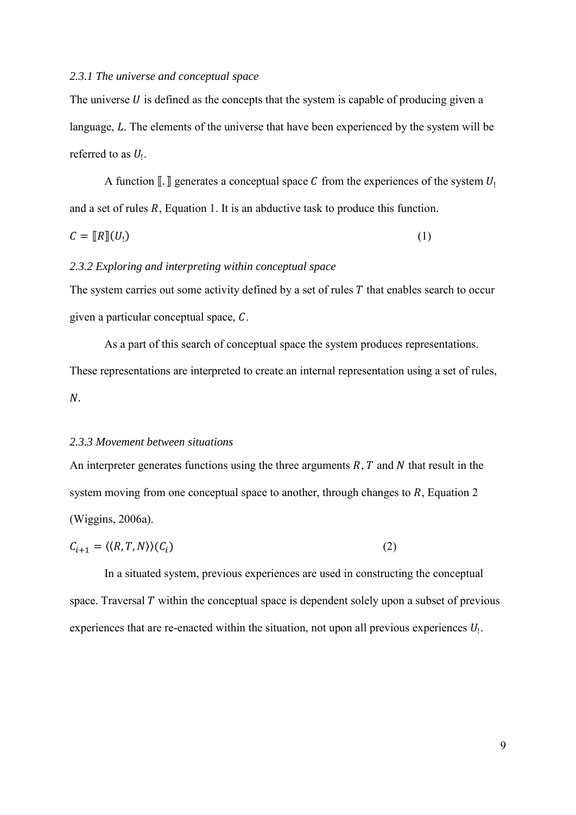#### *2.3.1 The universe and conceptual space*

The universe  $U$  is defined as the concepts that the system is capable of producing given a language,  $L$ . The elements of the universe that have been experienced by the system will be referred to as  $U_1$ .

A function  $\llbracket \cdot \rrbracket$  generates a conceptual space C from the experiences of the system  $U_1$ and a set of rules  $R$ , Equation 1. It is an abductive task to produce this function.

$$
C = [R][U_1] \tag{1}
$$

#### *2.3.2 Exploring and interpreting within conceptual space*

The system carries out some activity defined by a set of rules  $T$  that enables search to occur given a particular conceptual space,  $C$ .

As a part of this search of conceptual space the system produces representations. These representations are interpreted to create an internal representation using a set of rules,  $N$ .

#### *2.3.3 Movement between situations*

An interpreter generates functions using the three arguments  $R$ ,  $T$  and  $N$  that result in the system moving from one conceptual space to another, through changes to *, Equation 2* [\(Wiggins, 2006a\)](#page-30-7).

$$
C_{i+1} = \langle \langle R, T, N \rangle \rangle (C_i) \tag{2}
$$

In a situated system, previous experiences are used in constructing the conceptual space. Traversal  $T$  within the conceptual space is dependent solely upon a subset of previous experiences that are re-enacted within the situation, not upon all previous experiences  $U_1$ .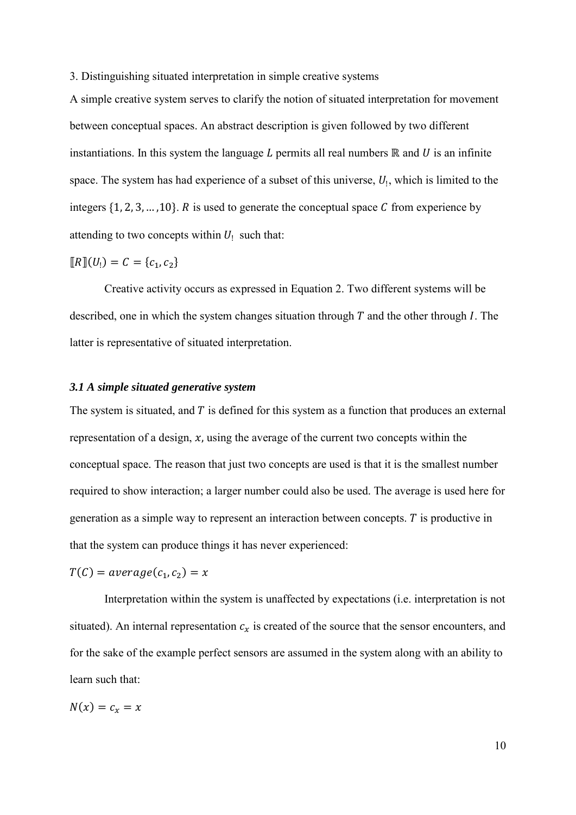3. Distinguishing situated interpretation in simple creative systems

A simple creative system serves to clarify the notion of situated interpretation for movement between conceptual spaces. An abstract description is given followed by two different instantiations. In this system the language  $L$  permits all real numbers  $\mathbb R$  and  $U$  is an infinite space. The system has had experience of a subset of this universe,  $U_1$ , which is limited to the integers  $\{1, 2, 3, ..., 10\}$ . R is used to generate the conceptual space C from experience by attending to two concepts within  $U_1$  such that:

$$
[\![R]\!](U_!)=C=\{c_1,c_2\}
$$

Creative activity occurs as expressed in Equation 2. Two different systems will be described, one in which the system changes situation through  $T$  and the other through  $I$ . The latter is representative of situated interpretation.

## *3.1 A simple situated generative system*

The system is situated, and  $T$  is defined for this system as a function that produces an external representation of a design,  $x$ , using the average of the current two concepts within the conceptual space. The reason that just two concepts are used is that it is the smallest number required to show interaction; a larger number could also be used. The average is used here for generation as a simple way to represent an interaction between concepts.  $T$  is productive in that the system can produce things it has never experienced:

$$
T(C) = average(c_1, c_2) = x
$$

Interpretation within the system is unaffected by expectations (i.e. interpretation is not situated). An internal representation  $c_x$  is created of the source that the sensor encounters, and for the sake of the example perfect sensors are assumed in the system along with an ability to learn such that:

$$
N(x)=c_x=x
$$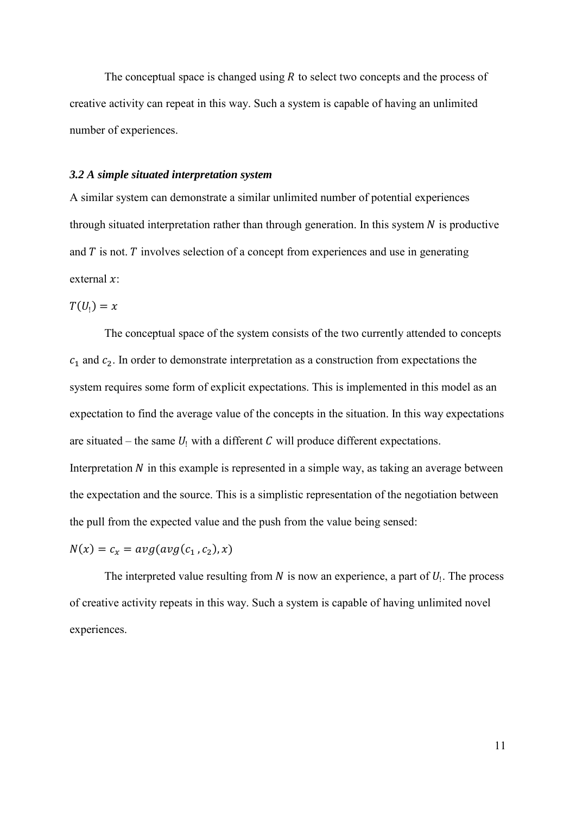The conceptual space is changed using  $R$  to select two concepts and the process of creative activity can repeat in this way. Such a system is capable of having an unlimited number of experiences.

## *3.2 A simple situated interpretation system*

A similar system can demonstrate a similar unlimited number of potential experiences through situated interpretation rather than through generation. In this system  $N$  is productive and  $T$  is not.  $T$  involves selection of a concept from experiences and use in generating external  $x$ :

 $T(U_1) = x$ 

The conceptual space of the system consists of the two currently attended to concepts  $c_1$  and  $c_2$ . In order to demonstrate interpretation as a construction from expectations the system requires some form of explicit expectations. This is implemented in this model as an expectation to find the average value of the concepts in the situation. In this way expectations are situated – the same  $U_1$  with a different  $C$  will produce different expectations. Interpretation  $N$  in this example is represented in a simple way, as taking an average between the expectation and the source. This is a simplistic representation of the negotiation between the pull from the expected value and the push from the value being sensed:

 $N(x) = c_x = avg(avg(c_1, c_2), x)$ 

The interpreted value resulting from  $N$  is now an experience, a part of  $U_1$ . The process of creative activity repeats in this way. Such a system is capable of having unlimited novel experiences.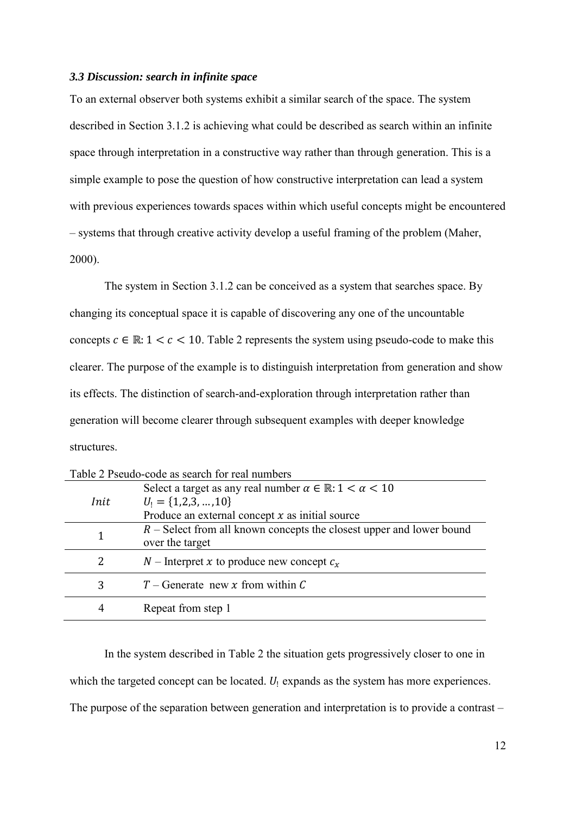#### *3.3 Discussion: search in infinite space*

To an external observer both systems exhibit a similar search of the space. The system described in Section 3.1.2 is achieving what could be described as search within an infinite space through interpretation in a constructive way rather than through generation. This is a simple example to pose the question of how constructive interpretation can lead a system with previous experiences towards spaces within which useful concepts might be encountered – systems that through creative activity develop a useful framing of the problem [\(Maher,](#page-29-15)  [2000\)](#page-29-15).

The system in Section 3.1.2 can be conceived as a system that searches space. By changing its conceptual space it is capable of discovering any one of the uncountable concepts  $c \in \mathbb{R}: 1 < c < 10$ . Table 2 represents the system using pseudo-code to make this clearer. The purpose of the example is to distinguish interpretation from generation and show its effects. The distinction of search-and-exploration through interpretation rather than generation will become clearer through subsequent examples with deeper knowledge structures.

| Table 2 Pseudo-code as search for real numbers |                                                                              |  |  |  |
|------------------------------------------------|------------------------------------------------------------------------------|--|--|--|
|                                                | Select a target as any real number $\alpha \in \mathbb{R} : 1 < \alpha < 10$ |  |  |  |
| Init                                           | $U_1 = \{1,2,3,,10\}$                                                        |  |  |  |
|                                                | Produce an external concept $x$ as initial source                            |  |  |  |
|                                                | $R$ – Select from all known concepts the closest upper and lower bound       |  |  |  |
|                                                | over the target                                                              |  |  |  |
| 2                                              | $N$ – Interpret x to produce new concept $c_x$                               |  |  |  |
|                                                |                                                                              |  |  |  |
| 3                                              | $T$ – Generate new x from within C                                           |  |  |  |
|                                                |                                                                              |  |  |  |
| 4                                              | Repeat from step 1                                                           |  |  |  |

| Table 2 Pseudo-code as search for real numbers |  |  |
|------------------------------------------------|--|--|

In the system described in Table 2 the situation gets progressively closer to one in which the targeted concept can be located.  $U_1$  expands as the system has more experiences. The purpose of the separation between generation and interpretation is to provide a contrast –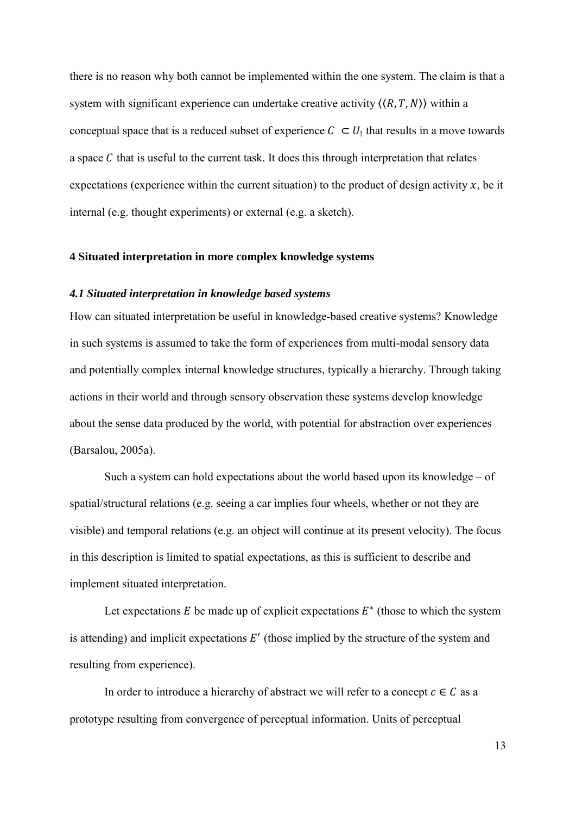there is no reason why both cannot be implemented within the one system. The claim is that a system with significant experience can undertake creative activity  $\langle \langle R, T, N \rangle \rangle$  within a conceptual space that is a reduced subset of experience  $C \subset U_1$  that results in a move towards a space  $C$  that is useful to the current task. It does this through interpretation that relates expectations (experience within the current situation) to the product of design activity  $x$ , be it internal (e.g. thought experiments) or external (e.g. a sketch).

#### **4 Situated interpretation in more complex knowledge systems**

## *4.1 Situated interpretation in knowledge based systems*

How can situated interpretation be useful in knowledge-based creative systems? Knowledge in such systems is assumed to take the form of experiences from multi-modal sensory data and potentially complex internal knowledge structures, typically a hierarchy. Through taking actions in their world and through sensory observation these systems develop knowledge about the sense data produced by the world, with potential for abstraction over experiences [\(Barsalou, 2005a\)](#page-27-8).

Such a system can hold expectations about the world based upon its knowledge – of spatial/structural relations (e.g. seeing a car implies four wheels, whether or not they are visible) and temporal relations (e.g. an object will continue at its present velocity). The focus in this description is limited to spatial expectations, as this is sufficient to describe and implement situated interpretation.

Let expectations  $E$  be made up of explicit expectations  $E^*$  (those to which the system is attending) and implicit expectations  $E'$  (those implied by the structure of the system and resulting from experience).

In order to introduce a hierarchy of abstract we will refer to a concept  $c \in C$  as a prototype resulting from convergence of perceptual information. Units of perceptual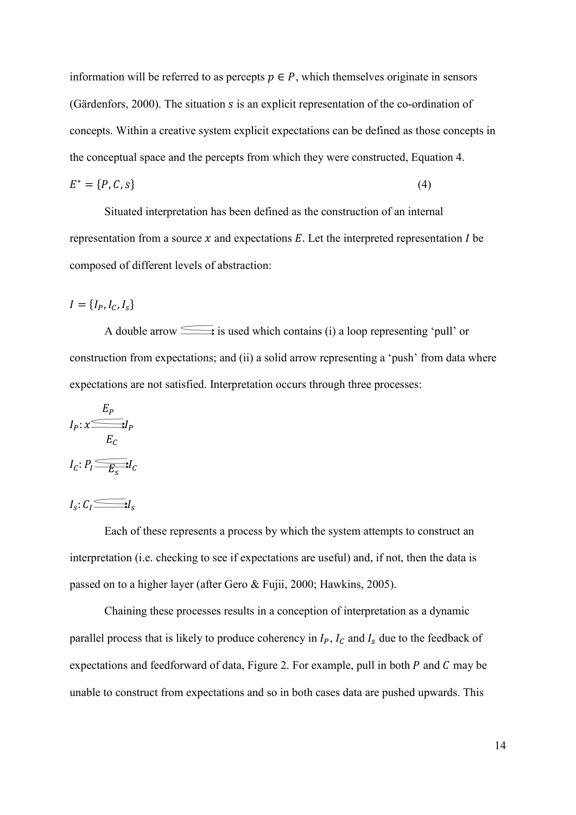information will be referred to as percepts  $p \in P$ , which themselves originate in sensors [\(Gärdenfors, 2000\)](#page-28-16). The situation  $s$  is an explicit representation of the co-ordination of concepts. Within a creative system explicit expectations can be defined as those concepts in the conceptual space and the percepts from which they were constructed, Equation 4.

$$
E^* = \{P, C, s\} \tag{4}
$$

Situated interpretation has been defined as the construction of an internal representation from a source  $x$  and expectations  $E$ . Let the interpreted representation  $I$  be composed of different levels of abstraction:

 $I = \{I_p, I_c, I_s\}$ 

A double arrow is used which contains (i) a loop representing 'pull' or construction from expectations; and (ii) a solid arrow representing a 'push' from data where expectations are not satisfied. Interpretation occurs through three processes:

$$
I_P: \mathcal{X} \xrightarrow{E_P} I_P
$$

$$
I_C: P_I \xrightarrow{E_C} I_C
$$

 $I_s: C_l \longrightarrow I_s$ 

Each of these represents a process by which the system attempts to construct an interpretation (i.e. checking to see if expectations are useful) and, if not, then the data is passed on to a higher layer (after [Gero & Fujii, 2000;](#page-28-17) [Hawkins, 2005\)](#page-28-18).

Chaining these processes results in a conception of interpretation as a dynamic parallel process that is likely to produce coherency in  $I_P$ ,  $I_C$  and  $I_S$  due to the feedback of expectations and feedforward of data, Figure 2. For example, pull in both  $P$  and  $C$  may be unable to construct from expectations and so in both cases data are pushed upwards. This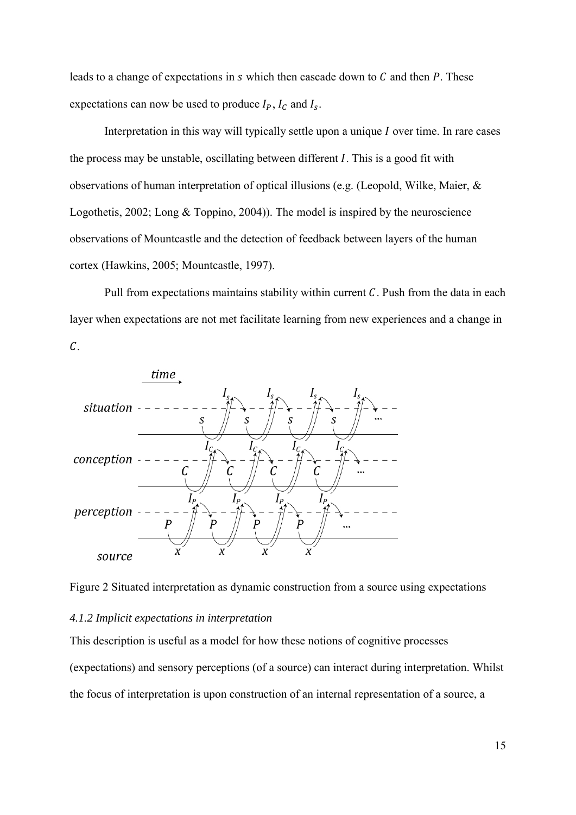leads to a change of expectations in  $s$  which then cascade down to  $C$  and then  $P$ . These expectations can now be used to produce  $I_P$ ,  $I_C$  and  $I_S$ .

Interpretation in this way will typically settle upon a unique  $I$  over time. In rare cases the process may be unstable, oscillating between different  $I$ . This is a good fit with observations of human interpretation of optical illusions (e.g. [\(Leopold, Wilke, Maier, &](#page-29-16)  [Logothetis, 2002;](#page-29-16) [Long & Toppino, 2004\)](#page-29-17)). The model is inspired by the neuroscience observations of Mountcastle and the detection of feedback between layers of the human cortex [\(Hawkins, 2005;](#page-28-18) [Mountcastle, 1997\)](#page-29-18).

Pull from expectations maintains stability within current  $C$ . Push from the data in each layer when expectations are not met facilitate learning from new experiences and a change in  $\mathcal{C}.$ 



Figure 2 Situated interpretation as dynamic construction from a source using expectations

#### *4.1.2 Implicit expectations in interpretation*

This description is useful as a model for how these notions of cognitive processes (expectations) and sensory perceptions (of a source) can interact during interpretation. Whilst the focus of interpretation is upon construction of an internal representation of a source, a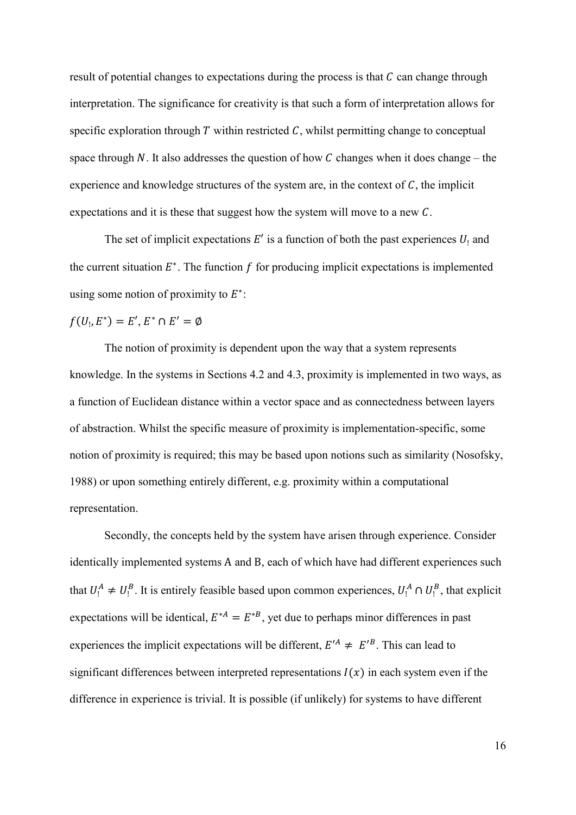result of potential changes to expectations during the process is that  $C$  can change through interpretation. The significance for creativity is that such a form of interpretation allows for specific exploration through  $T$  within restricted  $C$ , whilst permitting change to conceptual space through N. It also addresses the question of how C changes when it does change – the experience and knowledge structures of the system are, in the context of  $C$ , the implicit expectations and it is these that suggest how the system will move to a new  $C$ .

The set of implicit expectations  $E'$  is a function of both the past experiences  $U_1$  and the current situation  $E^*$ . The function f for producing implicit expectations is implemented using some notion of proximity to  $E^*$ :

 $f(U_1, E^*) = E', E^* \cap E' = \emptyset$ 

The notion of proximity is dependent upon the way that a system represents knowledge. In the systems in Sections 4.2 and 4.3, proximity is implemented in two ways, as a function of Euclidean distance within a vector space and as connectedness between layers of abstraction. Whilst the specific measure of proximity is implementation-specific, some notion of proximity is required; this may be based upon notions such as similarity [\(Nosofsky,](#page-29-19)  [1988\)](#page-29-19) or upon something entirely different, e.g. proximity within a computational representation.

Secondly, the concepts held by the system have arisen through experience. Consider identically implemented systems Α and Β, each of which have had different experiences such that  $U_1^A \neq U_1^B$ . It is entirely feasible based upon common experiences,  $U_1^A \cap U_1^B$ , that explicit expectations will be identical,  $E^{*A} = E^{*B}$ , yet due to perhaps minor differences in past experiences the implicit expectations will be different,  $E'^A \neq E'^B$ . This can lead to significant differences between interpreted representations  $I(x)$  in each system even if the difference in experience is trivial. It is possible (if unlikely) for systems to have different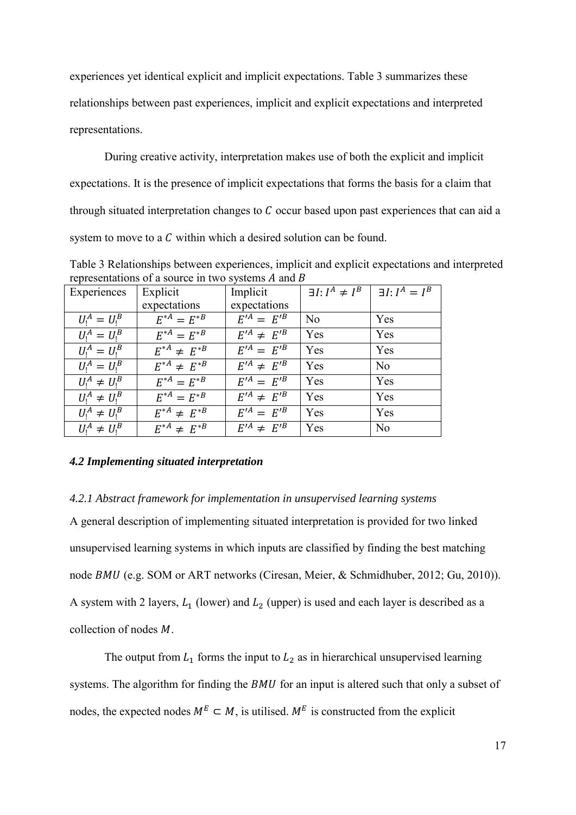experiences yet identical explicit and implicit expectations. Table 3 summarizes these relationships between past experiences, implicit and explicit expectations and interpreted representations.

During creative activity, interpretation makes use of both the explicit and implicit expectations. It is the presence of implicit expectations that forms the basis for a claim that through situated interpretation changes to  $C$  occur based upon past experiences that can aid a system to move to a  $C$  within which a desired solution can be found.

Table 3 Relationships between experiences, implicit and explicit expectations and interpreted representations of a source in two systems  $A$  and  $B$ 

| Experiences        | Explicit             | Implicit                         | $\exists I: I^A \neq I^B$ | $\exists I: I^A = I^B$ |
|--------------------|----------------------|----------------------------------|---------------------------|------------------------|
|                    | expectations         | expectations                     |                           |                        |
| $U_1^A = U_1^B$    | $E^{*A} = E^{*B}$    | $E^{\prime A} = E^{\prime B}$    | N <sub>0</sub>            | Yes                    |
| $U_1^A = U_1^B$    | $E^{*A} = E^{*B}$    | $E'^A \neq E'^B$                 | Yes                       | Yes                    |
| $U_1^A = U_1^B$    | $E^{*A} \neq E^{*B}$ | $E'^{A} = E'^{B}$                | Yes                       | Yes                    |
| $U_1^A = U_1^B$    | $E^{*A} \neq E^{*B}$ | $E^{\prime A} \neq E^{\prime B}$ | Yes                       | N <sub>0</sub>         |
| $U_1^A \neq U_1^B$ | $E^{*A} = E^{*B}$    | $E^{\prime A} = E^{\prime B}$    | Yes                       | Yes                    |
| $U_1^A \neq U_1^B$ | $E^{*A} = E^{*B}$    | $E^{\prime A} \neq E^{\prime B}$ | Yes                       | Yes                    |
| $U_1^A \neq U_1^B$ | $E^{*A} \neq E^{*B}$ | $E'^{A} = E'^{B}$                | Yes                       | Yes                    |
| $U_1^A \neq U_1^B$ | $E^{*A} \neq E^{*B}$ | $E^{\prime A} \neq E^{\prime B}$ | Yes                       | N <sub>0</sub>         |

### *4.2 Implementing situated interpretation*

### *4.2.1 Abstract framework for implementation in unsupervised learning systems*

A general description of implementing situated interpretation is provided for two linked unsupervised learning systems in which inputs are classified by finding the best matching node BMU (e.g. SOM or ART networks [\(Ciresan, Meier, & Schmidhuber, 2012;](#page-27-12) [Gu, 2010\)](#page-28-19)). A system with 2 layers,  $L_1$  (lower) and  $L_2$  (upper) is used and each layer is described as a collection of nodes  $M$ .

The output from  $L_1$  forms the input to  $L_2$  as in hierarchical unsupervised learning systems. The algorithm for finding the  $BMU$  for an input is altered such that only a subset of nodes, the expected nodes  $M^E \subset M$ , is utilised.  $M^E$  is constructed from the explicit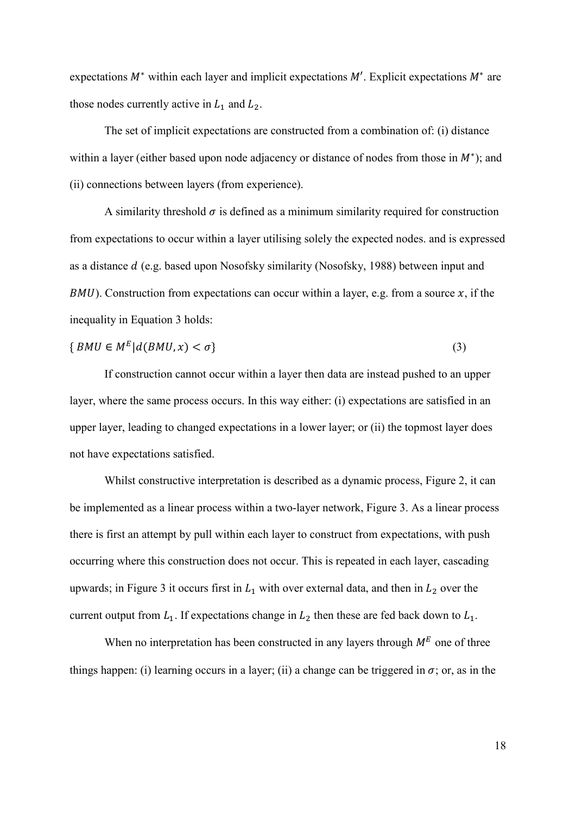expectations  $M^*$  within each layer and implicit expectations  $M'$ . Explicit expectations  $M^*$  are those nodes currently active in  $L_1$  and  $L_2$ .

The set of implicit expectations are constructed from a combination of: (i) distance within a layer (either based upon node adjacency or distance of nodes from those in  $M^*$ ); and (ii) connections between layers (from experience).

A similarity threshold  $\sigma$  is defined as a minimum similarity required for construction from expectations to occur within a layer utilising solely the expected nodes. and is expressed as a distance (e.g. based upon Nosofsky similarity [\(Nosofsky, 1988\)](#page-29-19) between input and  $BMU$ ). Construction from expectations can occur within a layer, e.g. from a source x, if the inequality in Equation 3 holds:

$$
\{ BMU \in M^E | d(BMU, x) < \sigma \} \tag{3}
$$

If construction cannot occur within a layer then data are instead pushed to an upper layer, where the same process occurs. In this way either: (i) expectations are satisfied in an upper layer, leading to changed expectations in a lower layer; or (ii) the topmost layer does not have expectations satisfied.

Whilst constructive interpretation is described as a dynamic process, Figure 2, it can be implemented as a linear process within a two-layer network, Figure 3. As a linear process there is first an attempt by pull within each layer to construct from expectations, with push occurring where this construction does not occur. This is repeated in each layer, cascading upwards; in Figure 3 it occurs first in  $L_1$  with over external data, and then in  $L_2$  over the current output from  $L_1$ . If expectations change in  $L_2$  then these are fed back down to  $L_1$ .

When no interpretation has been constructed in any layers through  $M<sup>E</sup>$  one of three things happen: (i) learning occurs in a layer; (ii) a change can be triggered in  $\sigma$ ; or, as in the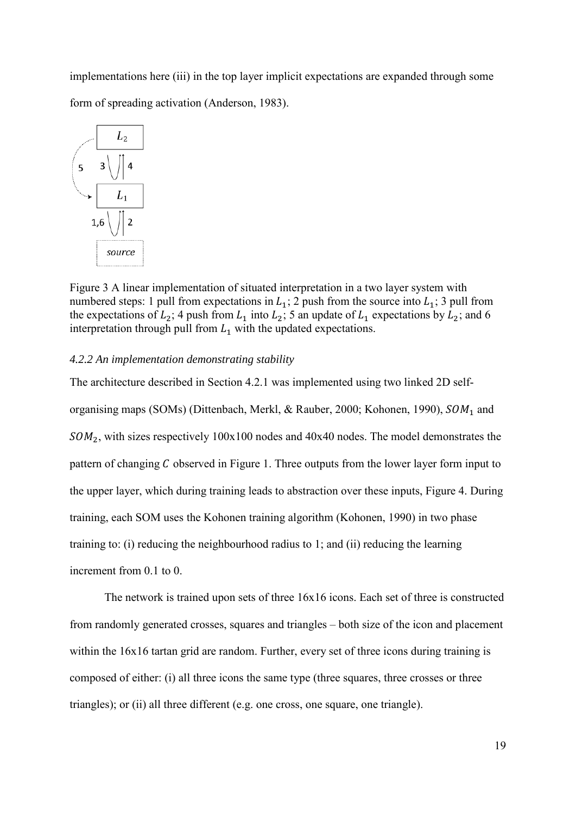implementations here (iii) in the top layer implicit expectations are expanded through some form of spreading activation [\(Anderson, 1983\)](#page-27-13).



Figure 3 A linear implementation of situated interpretation in a two layer system with numbered steps: 1 pull from expectations in  $L_1$ ; 2 push from the source into  $L_1$ ; 3 pull from the expectations of  $L_2$ ; 4 push from  $L_1$  into  $L_2$ ; 5 an update of  $L_1$  expectations by  $L_2$ ; and 6 interpretation through pull from  $L_1$  with the updated expectations.

#### *4.2.2 An implementation demonstrating stability*

The architecture described in Section 4.2.1 was implemented using two linked 2D self-organising maps (SOMs) [\(Dittenbach, Merkl, & Rauber, 2000;](#page-27-14) [Kohonen, 1990\)](#page-29-20),  $SOM<sub>1</sub>$  and  $50M<sub>2</sub>$ , with sizes respectively 100x100 nodes and 40x40 nodes. The model demonstrates the pattern of changing  $C$  observed in Figure 1. Three outputs from the lower layer form input to the upper layer, which during training leads to abstraction over these inputs, Figure 4. During training, each SOM uses the Kohonen training algorithm [\(Kohonen, 1990\)](#page-29-20) in two phase training to: (i) reducing the neighbourhood radius to 1; and (ii) reducing the learning increment from 0.1 to 0.

The network is trained upon sets of three 16x16 icons. Each set of three is constructed from randomly generated crosses, squares and triangles – both size of the icon and placement within the  $16x16$  tartan grid are random. Further, every set of three icons during training is composed of either: (i) all three icons the same type (three squares, three crosses or three triangles); or (ii) all three different (e.g. one cross, one square, one triangle).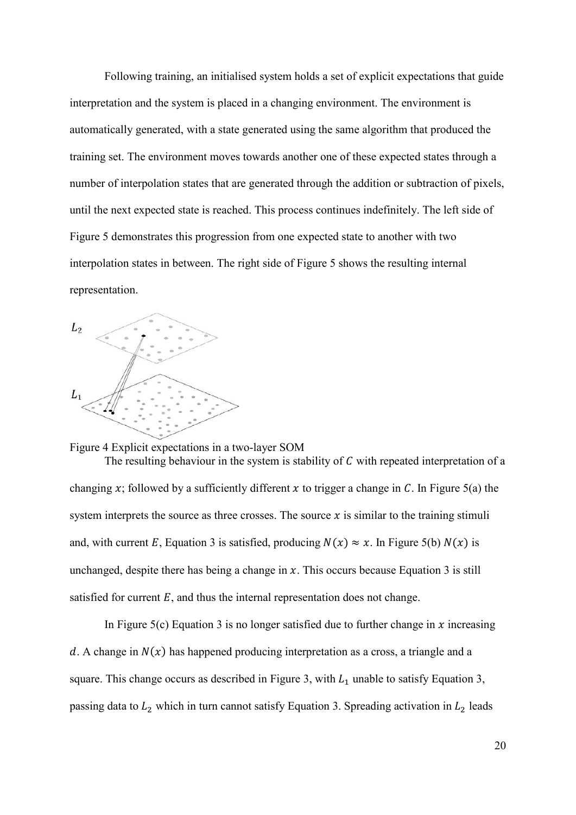Following training, an initialised system holds a set of explicit expectations that guide interpretation and the system is placed in a changing environment. The environment is automatically generated, with a state generated using the same algorithm that produced the training set. The environment moves towards another one of these expected states through a number of interpolation states that are generated through the addition or subtraction of pixels, until the next expected state is reached. This process continues indefinitely. The left side of Figure 5 demonstrates this progression from one expected state to another with two interpolation states in between. The right side of Figure 5 shows the resulting internal representation.



Figure 4 Explicit expectations in a two-layer SOM The resulting behaviour in the system is stability of  $C$  with repeated interpretation of a changing x; followed by a sufficiently different x to trigger a change in C. In Figure 5(a) the system interprets the source as three crosses. The source  $x$  is similar to the training stimuli and, with current E, Equation 3 is satisfied, producing  $N(x) \approx x$ . In Figure 5(b)  $N(x)$  is unchanged, despite there has being a change in  $x$ . This occurs because Equation 3 is still satisfied for current  $E$ , and thus the internal representation does not change.

In Figure 5(c) Equation 3 is no longer satisfied due to further change in  $x$  increasing d. A change in  $N(x)$  has happened producing interpretation as a cross, a triangle and a square. This change occurs as described in Figure 3, with  $L_1$  unable to satisfy Equation 3, passing data to  $L_2$  which in turn cannot satisfy Equation 3. Spreading activation in  $L_2$  leads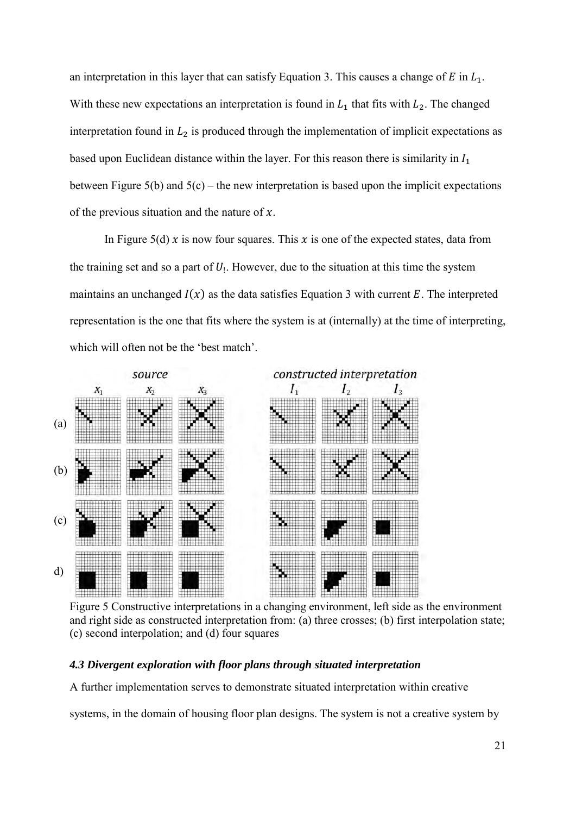an interpretation in this layer that can satisfy Equation 3. This causes a change of  $E$  in  $L_1$ . With these new expectations an interpretation is found in  $L_1$  that fits with  $L_2$ . The changed interpretation found in  $L_2$  is produced through the implementation of implicit expectations as based upon Euclidean distance within the layer. For this reason there is similarity in  $I_1$ between Figure  $5(b)$  and  $5(c)$  – the new interpretation is based upon the implicit expectations of the previous situation and the nature of  $x$ .

In Figure 5(d)  $x$  is now four squares. This  $x$  is one of the expected states, data from the training set and so a part of  $U_1$ . However, due to the situation at this time the system maintains an unchanged  $I(x)$  as the data satisfies Equation 3 with current E. The interpreted representation is the one that fits where the system is at (internally) at the time of interpreting, which will often not be the 'best match'.



Figure 5 Constructive interpretations in a changing environment, left side as the environment and right side as constructed interpretation from: (a) three crosses; (b) first interpolation state; (c) second interpolation; and (d) four squares

## *4.3 Divergent exploration with floor plans through situated interpretation*

A further implementation serves to demonstrate situated interpretation within creative

systems, in the domain of housing floor plan designs. The system is not a creative system by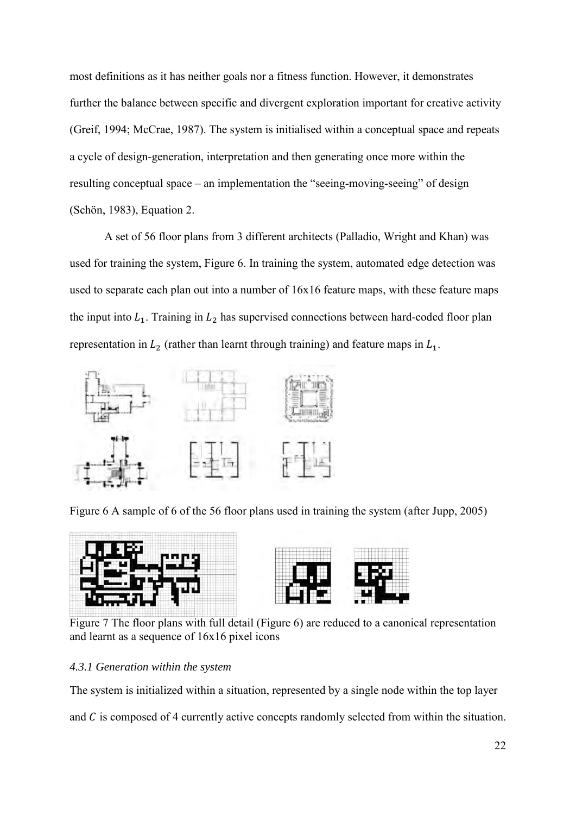most definitions as it has neither goals nor a fitness function. However, it demonstrates further the balance between specific and divergent exploration important for creative activity [\(Greif, 1994;](#page-28-20) [McCrae, 1987\)](#page-29-21). The system is initialised within a conceptual space and repeats a cycle of design-generation, interpretation and then generating once more within the resulting conceptual space – an implementation the "seeing-moving-seeing" of design [\(Schön, 1983\)](#page-30-2), Equation 2.

A set of 56 floor plans from 3 different architects (Palladio, Wright and Khan) was used for training the system, Figure 6. In training the system, automated edge detection was used to separate each plan out into a number of 16x16 feature maps, with these feature maps the input into  $L_1$ . Training in  $L_2$  has supervised connections between hard-coded floor plan representation in  $L_2$  (rather than learnt through training) and feature maps in  $L_1$ .



Figure 6 A sample of 6 of the 56 floor plans used in training the system [\(after Jupp, 2005\)](#page-28-21)





Figure 7 The floor plans with full detail (Figure 6) are reduced to a canonical representation and learnt as a sequence of 16x16 pixel icons

## *4.3.1 Generation within the system*

The system is initialized within a situation, represented by a single node within the top layer

and  $C$  is composed of 4 currently active concepts randomly selected from within the situation.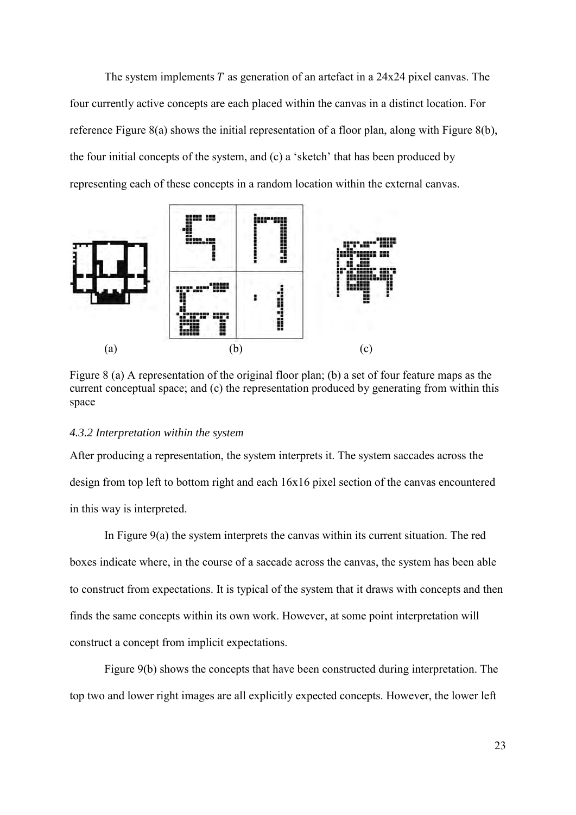The system implements  $T$  as generation of an artefact in a 24x24 pixel canvas. The four currently active concepts are each placed within the canvas in a distinct location. For reference Figure 8(a) shows the initial representation of a floor plan, along with Figure 8(b), the four initial concepts of the system, and (c) a 'sketch' that has been produced by representing each of these concepts in a random location within the external canvas.



Figure 8 (a) A representation of the original floor plan; (b) a set of four feature maps as the current conceptual space; and (c) the representation produced by generating from within this space

#### *4.3.2 Interpretation within the system*

After producing a representation, the system interprets it. The system saccades across the design from top left to bottom right and each 16x16 pixel section of the canvas encountered in this way is interpreted.

In Figure 9(a) the system interprets the canvas within its current situation. The red boxes indicate where, in the course of a saccade across the canvas, the system has been able to construct from expectations. It is typical of the system that it draws with concepts and then finds the same concepts within its own work. However, at some point interpretation will construct a concept from implicit expectations.

Figure 9(b) shows the concepts that have been constructed during interpretation. The top two and lower right images are all explicitly expected concepts. However, the lower left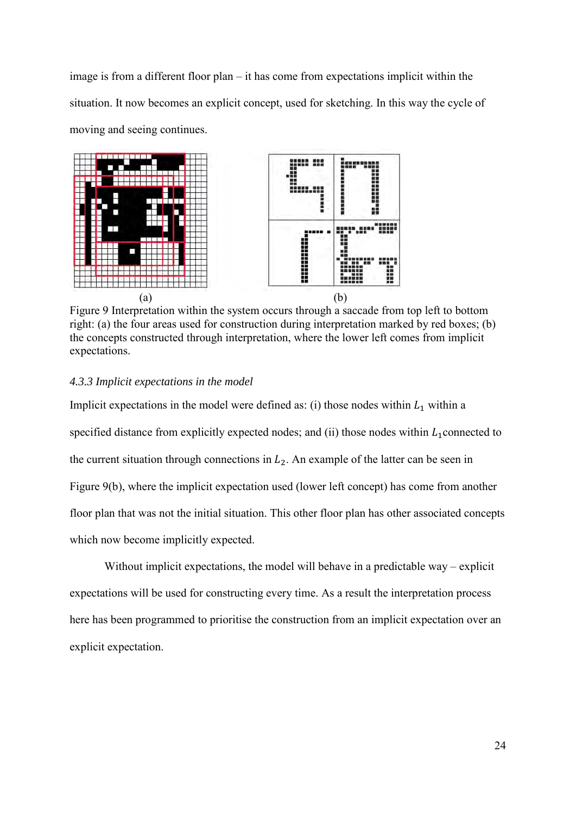image is from a different floor plan – it has come from expectations implicit within the situation. It now becomes an explicit concept, used for sketching. In this way the cycle of moving and seeing continues.



Figure 9 Interpretation within the system occurs through a saccade from top left to bottom right: (a) the four areas used for construction during interpretation marked by red boxes; (b) the concepts constructed through interpretation, where the lower left comes from implicit expectations.

## *4.3.3 Implicit expectations in the model*

Implicit expectations in the model were defined as: (i) those nodes within  $L_1$  within a specified distance from explicitly expected nodes; and (ii) those nodes within  $L_1$  connected to the current situation through connections in  $L_2$ . An example of the latter can be seen in Figure 9(b), where the implicit expectation used (lower left concept) has come from another floor plan that was not the initial situation. This other floor plan has other associated concepts which now become implicitly expected.

Without implicit expectations, the model will behave in a predictable way – explicit expectations will be used for constructing every time. As a result the interpretation process here has been programmed to prioritise the construction from an implicit expectation over an explicit expectation.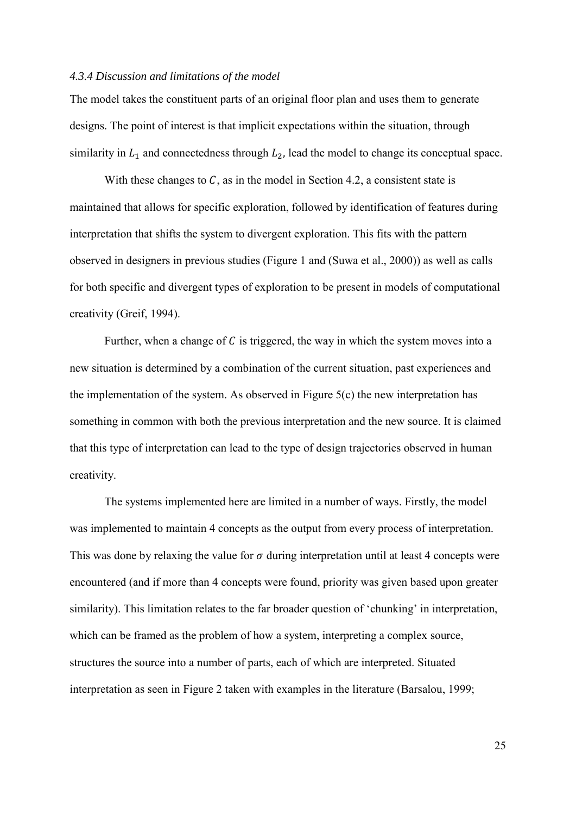#### *4.3.4 Discussion and limitations of the model*

The model takes the constituent parts of an original floor plan and uses them to generate designs. The point of interest is that implicit expectations within the situation, through similarity in  $L_1$  and connectedness through  $L_2$ , lead the model to change its conceptual space.

With these changes to  $C$ , as in the model in Section 4.2, a consistent state is maintained that allows for specific exploration, followed by identification of features during interpretation that shifts the system to divergent exploration. This fits with the pattern observed in designers in previous studies (Figure 1 and [\(Suwa et al., 2000\)](#page-30-5)) as well as calls for both specific and divergent types of exploration to be present in models of computational creativity [\(Greif, 1994\)](#page-28-20).

Further, when a change of  $C$  is triggered, the way in which the system moves into a new situation is determined by a combination of the current situation, past experiences and the implementation of the system. As observed in Figure 5(c) the new interpretation has something in common with both the previous interpretation and the new source. It is claimed that this type of interpretation can lead to the type of design trajectories observed in human creativity.

The systems implemented here are limited in a number of ways. Firstly, the model was implemented to maintain 4 concepts as the output from every process of interpretation. This was done by relaxing the value for  $\sigma$  during interpretation until at least 4 concepts were encountered (and if more than 4 concepts were found, priority was given based upon greater similarity). This limitation relates to the far broader question of 'chunking' in interpretation, which can be framed as the problem of how a system, interpreting a complex source, structures the source into a number of parts, each of which are interpreted. Situated interpretation as seen in Figure 2 taken with examples in the literature [\(Barsalou, 1999;](#page-27-7)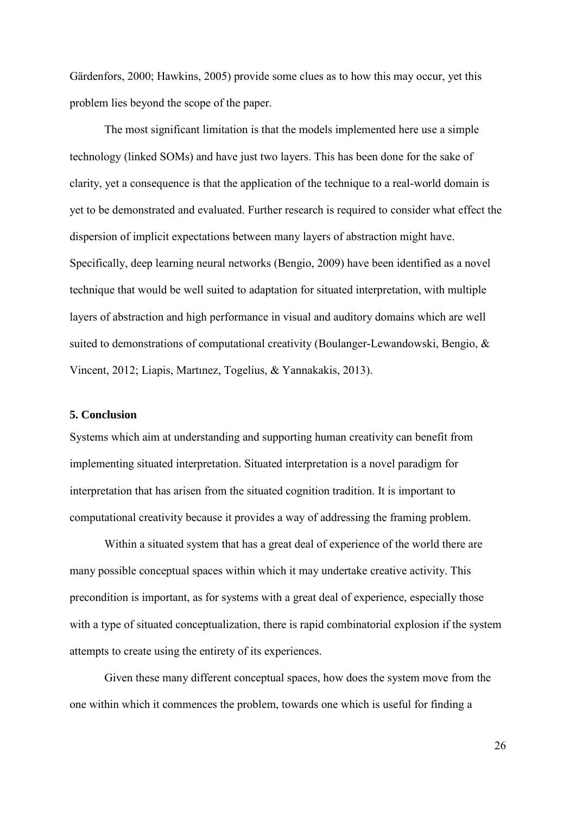[Gärdenfors, 2000;](#page-28-16) [Hawkins, 2005\)](#page-28-18) provide some clues as to how this may occur, yet this problem lies beyond the scope of the paper.

The most significant limitation is that the models implemented here use a simple technology (linked SOMs) and have just two layers. This has been done for the sake of clarity, yet a consequence is that the application of the technique to a real-world domain is yet to be demonstrated and evaluated. Further research is required to consider what effect the dispersion of implicit expectations between many layers of abstraction might have. Specifically, deep learning neural networks [\(Bengio, 2009\)](#page-27-15) have been identified as a novel technique that would be well suited to adaptation for situated interpretation, with multiple layers of abstraction and high performance in visual and auditory domains which are well suited to demonstrations of computational creativity [\(Boulanger-Lewandowski, Bengio, &](#page-27-16)  [Vincent, 2012;](#page-27-16) [Liapis, Martınez, Togelius, & Yannakakis, 2013\)](#page-29-22).

#### **5. Conclusion**

Systems which aim at understanding and supporting human creativity can benefit from implementing situated interpretation. Situated interpretation is a novel paradigm for interpretation that has arisen from the situated cognition tradition. It is important to computational creativity because it provides a way of addressing the framing problem.

Within a situated system that has a great deal of experience of the world there are many possible conceptual spaces within which it may undertake creative activity. This precondition is important, as for systems with a great deal of experience, especially those with a type of situated conceptualization, there is rapid combinatorial explosion if the system attempts to create using the entirety of its experiences.

Given these many different conceptual spaces, how does the system move from the one within which it commences the problem, towards one which is useful for finding a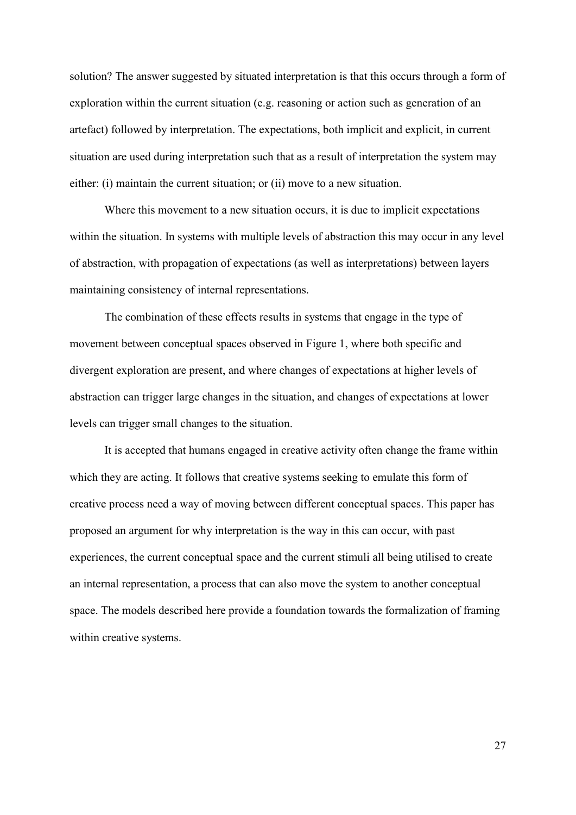solution? The answer suggested by situated interpretation is that this occurs through a form of exploration within the current situation (e.g. reasoning or action such as generation of an artefact) followed by interpretation. The expectations, both implicit and explicit, in current situation are used during interpretation such that as a result of interpretation the system may either: (i) maintain the current situation; or (ii) move to a new situation.

Where this movement to a new situation occurs, it is due to implicit expectations within the situation. In systems with multiple levels of abstraction this may occur in any level of abstraction, with propagation of expectations (as well as interpretations) between layers maintaining consistency of internal representations.

The combination of these effects results in systems that engage in the type of movement between conceptual spaces observed in Figure 1, where both specific and divergent exploration are present, and where changes of expectations at higher levels of abstraction can trigger large changes in the situation, and changes of expectations at lower levels can trigger small changes to the situation.

It is accepted that humans engaged in creative activity often change the frame within which they are acting. It follows that creative systems seeking to emulate this form of creative process need a way of moving between different conceptual spaces. This paper has proposed an argument for why interpretation is the way in this can occur, with past experiences, the current conceptual space and the current stimuli all being utilised to create an internal representation, a process that can also move the system to another conceptual space. The models described here provide a foundation towards the formalization of framing within creative systems.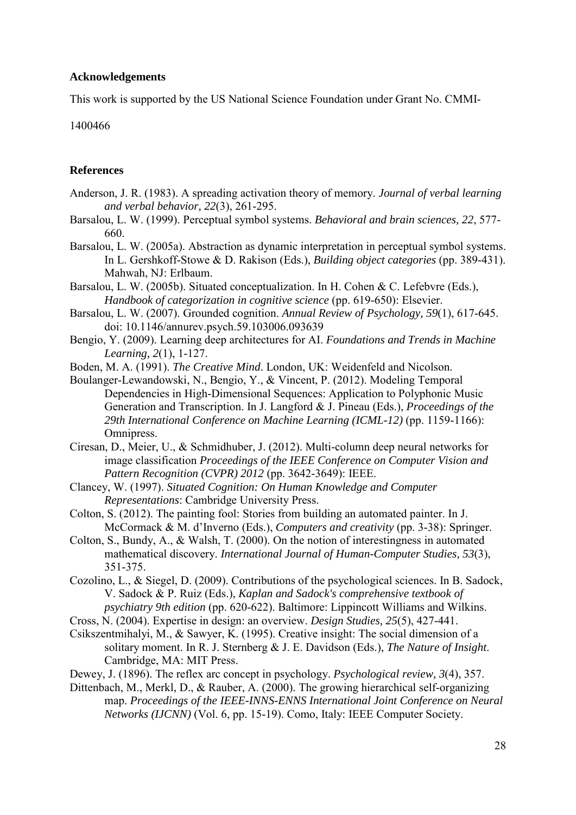### **Acknowledgements**

This work is supported by the US National Science Foundation under Grant No. CMMI-

1400466

#### **References**

- <span id="page-27-13"></span>Anderson, J. R. (1983). A spreading activation theory of memory. *Journal of verbal learning and verbal behavior, 22*(3), 261-295.
- <span id="page-27-7"></span>Barsalou, L. W. (1999). Perceptual symbol systems. *Behavioral and brain sciences, 22*, 577- 660.
- <span id="page-27-8"></span>Barsalou, L. W. (2005a). Abstraction as dynamic interpretation in perceptual symbol systems. In L. Gershkoff-Stowe & D. Rakison (Eds.), *Building object categories* (pp. 389-431). Mahwah, NJ: Erlbaum.
- <span id="page-27-9"></span>Barsalou, L. W. (2005b). Situated conceptualization. In H. Cohen & C. Lefebvre (Eds.), *Handbook of categorization in cognitive science* (pp. 619-650): Elsevier.
- <span id="page-27-10"></span>Barsalou, L. W. (2007). Grounded cognition. *Annual Review of Psychology, 59*(1), 617-645. doi: 10.1146/annurev.psych.59.103006.093639
- <span id="page-27-15"></span>Bengio, Y. (2009). Learning deep architectures for AI. *Foundations and Trends in Machine Learning, 2*(1), 1-127.
- <span id="page-27-0"></span>Boden, M. A. (1991). *The Creative Mind*. London, UK: Weidenfeld and Nicolson.
- <span id="page-27-16"></span>Boulanger-Lewandowski, N., Bengio, Y., & Vincent, P. (2012). Modeling Temporal Dependencies in High-Dimensional Sequences: Application to Polyphonic Music Generation and Transcription. In J. Langford & J. Pineau (Eds.), *Proceedings of the 29th International Conference on Machine Learning (ICML-12)* (pp. 1159-1166): Omnipress.
- <span id="page-27-12"></span>Ciresan, D., Meier, U., & Schmidhuber, J. (2012). Multi-column deep neural networks for image classification *Proceedings of the IEEE Conference on Computer Vision and Pattern Recognition (CVPR) 2012* (pp. 3642-3649): IEEE.
- <span id="page-27-5"></span>Clancey, W. (1997). *Situated Cognition: On Human Knowledge and Computer Representations*: Cambridge University Press.
- <span id="page-27-1"></span>Colton, S. (2012). The painting fool: Stories from building an automated painter. In J. McCormack & M. d'Inverno (Eds.), *Computers and creativity* (pp. 3-38): Springer.
- <span id="page-27-2"></span>Colton, S., Bundy, A., & Walsh, T. (2000). On the notion of interestingness in automated mathematical discovery. *International Journal of Human-Computer Studies, 53*(3), 351-375.
- <span id="page-27-11"></span>Cozolino, L., & Siegel, D. (2009). Contributions of the psychological sciences. In B. Sadock, V. Sadock & P. Ruiz (Eds.), *Kaplan and Sadock's comprehensive textbook of psychiatry 9th edition* (pp. 620-622). Baltimore: Lippincott Williams and Wilkins.
- <span id="page-27-3"></span>Cross, N. (2004). Expertise in design: an overview. *Design Studies, 25*(5), 427-441.
- <span id="page-27-4"></span>Csikszentmihalyi, M., & Sawyer, K. (1995). Creative insight: The social dimension of a solitary moment. In R. J. Sternberg & J. E. Davidson (Eds.), *The Nature of Insight*. Cambridge, MA: MIT Press.
- <span id="page-27-6"></span>Dewey, J. (1896). The reflex arc concept in psychology. *Psychological review, 3*(4), 357.
- <span id="page-27-14"></span>Dittenbach, M., Merkl, D., & Rauber, A. (2000). The growing hierarchical self-organizing map. *Proceedings of the IEEE-INNS-ENNS International Joint Conference on Neural Networks (IJCNN)* (Vol. 6, pp. 15-19). Como, Italy: IEEE Computer Society.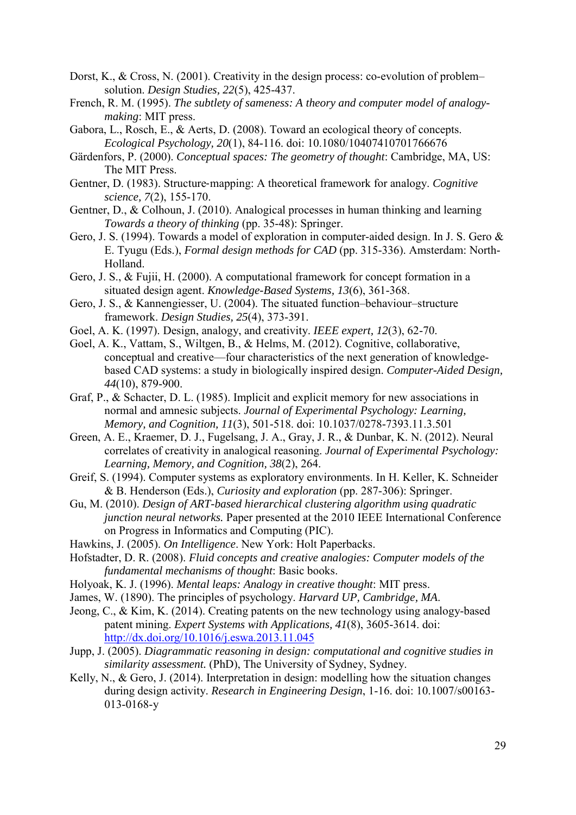- <span id="page-28-1"></span>Dorst, K., & Cross, N. (2001). Creativity in the design process: co-evolution of problem– solution. *Design Studies, 22*(5), 425-437.
- <span id="page-28-14"></span>French, R. M. (1995). *The subtlety of sameness: A theory and computer model of analogymaking*: MIT press.
- <span id="page-28-3"></span>Gabora, L., Rosch, E., & Aerts, D. (2008). Toward an ecological theory of concepts. *Ecological Psychology, 20*(1), 84-116. doi: 10.1080/10407410701766676
- <span id="page-28-16"></span>Gärdenfors, P. (2000). *Conceptual spaces: The geometry of thought*: Cambridge, MA, US: The MIT Press.
- <span id="page-28-10"></span>Gentner, D. (1983). Structure‐mapping: A theoretical framework for analogy. *Cognitive science, 7*(2), 155-170.
- <span id="page-28-11"></span>Gentner, D., & Colhoun, J. (2010). Analogical processes in human thinking and learning *Towards a theory of thinking* (pp. 35-48): Springer.
- <span id="page-28-0"></span>Gero, J. S. (1994). Towards a model of exploration in computer-aided design. In J. S. Gero & E. Tyugu (Eds.), *Formal design methods for CAD* (pp. 315-336). Amsterdam: North-Holland.
- <span id="page-28-17"></span>Gero, J. S., & Fujii, H. (2000). A computational framework for concept formation in a situated design agent. *Knowledge-Based Systems, 13*(6), 361-368.
- <span id="page-28-4"></span>Gero, J. S., & Kannengiesser, U. (2004). The situated function–behaviour–structure framework. *Design Studies, 25*(4), 373-391.
- <span id="page-28-7"></span>Goel, A. K. (1997). Design, analogy, and creativity. *IEEE expert, 12*(3), 62-70.
- <span id="page-28-8"></span>Goel, A. K., Vattam, S., Wiltgen, B., & Helms, M. (2012). Cognitive, collaborative, conceptual and creative—four characteristics of the next generation of knowledgebased CAD systems: a study in biologically inspired design. *Computer-Aided Design, 44*(10), 879-900.
- <span id="page-28-6"></span>Graf, P., & Schacter, D. L. (1985). Implicit and explicit memory for new associations in normal and amnesic subjects. *Journal of Experimental Psychology: Learning, Memory, and Cognition, 11*(3), 501-518. doi: 10.1037/0278-7393.11.3.501
- <span id="page-28-12"></span>Green, A. E., Kraemer, D. J., Fugelsang, J. A., Gray, J. R., & Dunbar, K. N. (2012). Neural correlates of creativity in analogical reasoning. *Journal of Experimental Psychology: Learning, Memory, and Cognition, 38*(2), 264.
- <span id="page-28-20"></span>Greif, S. (1994). Computer systems as exploratory environments. In H. Keller, K. Schneider & B. Henderson (Eds.), *Curiosity and exploration* (pp. 287-306): Springer.
- <span id="page-28-19"></span>Gu, M. (2010). *Design of ART-based hierarchical clustering algorithm using quadratic junction neural networks.* Paper presented at the 2010 IEEE International Conference on Progress in Informatics and Computing (PIC).
- <span id="page-28-18"></span>Hawkins, J. (2005). *On Intelligence*. New York: Holt Paperbacks.
- <span id="page-28-15"></span>Hofstadter, D. R. (2008). *Fluid concepts and creative analogies: Computer models of the fundamental mechanisms of thought*: Basic books.
- <span id="page-28-13"></span>Holyoak, K. J. (1996). *Mental leaps: Analogy in creative thought*: MIT press.
- <span id="page-28-5"></span>James, W. (1890). The principles of psychology. *Harvard UP, Cambridge, MA*.
- <span id="page-28-9"></span>Jeong, C., & Kim, K. (2014). Creating patents on the new technology using analogy-based patent mining. *Expert Systems with Applications, 41*(8), 3605-3614. doi: <http://dx.doi.org/10.1016/j.eswa.2013.11.045>
- <span id="page-28-21"></span>Jupp, J. (2005). *Diagrammatic reasoning in design: computational and cognitive studies in similarity assessment.* (PhD), The University of Sydney, Sydney.
- <span id="page-28-2"></span>Kelly, N., & Gero, J. (2014). Interpretation in design: modelling how the situation changes during design activity. *Research in Engineering Design*, 1-16. doi: 10.1007/s00163- 013-0168-y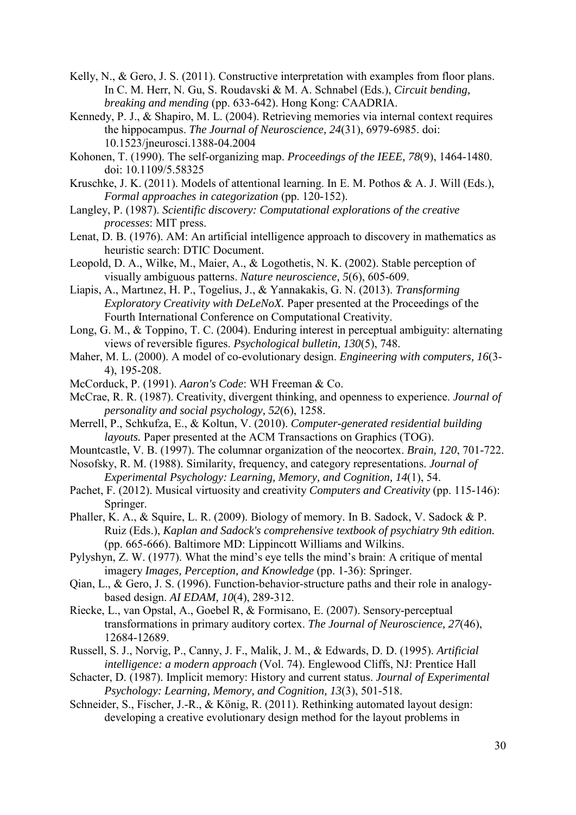- <span id="page-29-9"></span>Kelly, N., & Gero, J. S. (2011). Constructive interpretation with examples from floor plans. In C. M. Herr, N. Gu, S. Roudavski & M. A. Schnabel (Eds.), *Circuit bending, breaking and mending* (pp. 633-642). Hong Kong: CAADRIA.
- <span id="page-29-6"></span>Kennedy, P. J., & Shapiro, M. L. (2004). Retrieving memories via internal context requires the hippocampus. *The Journal of Neuroscience, 24*(31), 6979-6985. doi: 10.1523/jneurosci.1388-04.2004
- <span id="page-29-20"></span>Kohonen, T. (1990). The self-organizing map. *Proceedings of the IEEE, 78*(9), 1464-1480. doi: 10.1109/5.58325
- <span id="page-29-13"></span>Kruschke, J. K. (2011). Models of attentional learning. In E. M. Pothos & A. J. Will (Eds.), *Formal approaches in categorization* (pp. 120-152).
- <span id="page-29-0"></span>Langley, P. (1987). *Scientific discovery: Computational explorations of the creative processes*: MIT press.
- <span id="page-29-4"></span>Lenat, D. B. (1976). AM: An artificial intelligence approach to discovery in mathematics as heuristic search: DTIC Document.
- <span id="page-29-16"></span>Leopold, D. A., Wilke, M., Maier, A., & Logothetis, N. K. (2002). Stable perception of visually ambiguous patterns. *Nature neuroscience, 5*(6), 605-609.
- <span id="page-29-22"></span>Liapis, A., Martınez, H. P., Togelius, J., & Yannakakis, G. N. (2013). *Transforming Exploratory Creativity with DeLeNoX.* Paper presented at the Proceedings of the Fourth International Conference on Computational Creativity.
- <span id="page-29-17"></span>Long, G. M., & Toppino, T. C. (2004). Enduring interest in perceptual ambiguity: alternating views of reversible figures. *Psychological bulletin, 130*(5), 748.
- <span id="page-29-15"></span>Maher, M. L. (2000). A model of co-evolutionary design. *Engineering with computers, 16*(3- 4), 195-208.
- <span id="page-29-3"></span>McCorduck, P. (1991). *Aaron's Code*: WH Freeman & Co.
- <span id="page-29-21"></span>McCrae, R. R. (1987). Creativity, divergent thinking, and openness to experience. *Journal of personality and social psychology, 52*(6), 1258.
- <span id="page-29-1"></span>Merrell, P., Schkufza, E., & Koltun, V. (2010). *Computer-generated residential building layouts.* Paper presented at the ACM Transactions on Graphics (TOG).
- <span id="page-29-18"></span>Mountcastle, V. B. (1997). The columnar organization of the neocortex. *Brain, 120*, 701-722.
- <span id="page-29-19"></span>Nosofsky, R. M. (1988). Similarity, frequency, and category representations. *Journal of Experimental Psychology: Learning, Memory, and Cognition, 14*(1), 54.
- <span id="page-29-5"></span>Pachet, F. (2012). Musical virtuosity and creativity *Computers and Creativity* (pp. 115-146): Springer.
- <span id="page-29-12"></span>Phaller, K. A., & Squire, L. R. (2009). Biology of memory. In B. Sadock, V. Sadock & P. Ruiz (Eds.), *Kaplan and Sadock's comprehensive textbook of psychiatry 9th edition.* (pp. 665-666). Baltimore MD: Lippincott Williams and Wilkins.
- <span id="page-29-7"></span>Pylyshyn, Z. W. (1977). What the mind's eye tells the mind's brain: A critique of mental imagery *Images, Perception, and Knowledge* (pp. 1-36): Springer.
- <span id="page-29-14"></span>Qian, L., & Gero, J. S. (1996). Function-behavior-structure paths and their role in analogybased design. *AI EDAM, 10*(4), 289-312.
- <span id="page-29-10"></span>Riecke, L., van Opstal, A., Goebel R, & Formisano, E. (2007). Sensory-perceptual transformations in primary auditory cortex. *The Journal of Neuroscience, 27*(46), 12684-12689.
- <span id="page-29-8"></span>Russell, S. J., Norvig, P., Canny, J. F., Malik, J. M., & Edwards, D. D. (1995). *Artificial intelligence: a modern approach* (Vol. 74). Englewood Cliffs, NJ: Prentice Hall
- <span id="page-29-11"></span>Schacter, D. (1987). Implicit memory: History and current status. *Journal of Experimental Psychology: Learning, Memory, and Cognition, 13*(3), 501-518.
- <span id="page-29-2"></span>Schneider, S., Fischer, J.-R., & König, R. (2011). Rethinking automated layout design: developing a creative evolutionary design method for the layout problems in